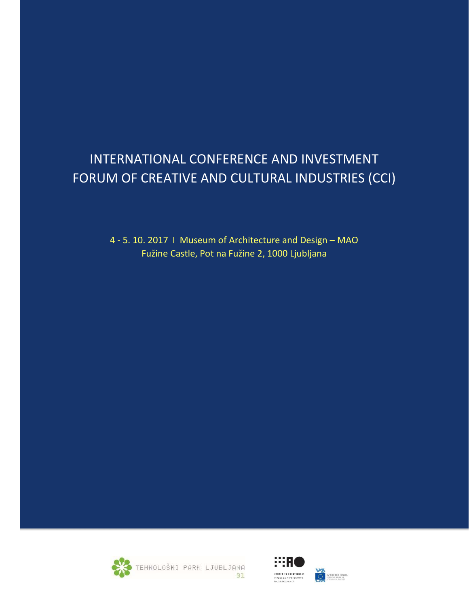# INTERNATIONAL CONFERENCE AND INVESTMENT FORUM OF CREATIVE AND CULTURAL INDUSTRIES (CCI)

4 - 5. 10. 2017 I Museum of Architecture and Design – MAO Fužine Castle, Pot na Fužine 2, 1000 Ljubljana



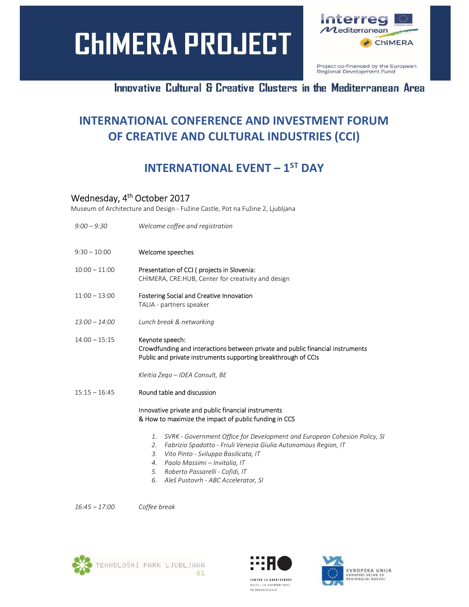# **CHIMERA PROJECT**



Project co-financed by the European Regional Development Fund

### Innovative Cultural & Creative Clusters in the Mediterranean Area

# INTERNATIONAL CONFERENCE AND INVESTMENT FORUM OF CREATIVE AND CULTURAL INDUSTRIES (CCI)

### INTERNATIONAL EVENT – 1ST DAY

### Wednesday, 4<sup>th</sup> October 2017

Museum of Architecture and Design - Fužine Castle, Pot na Fužine 2, Ljubljana

| $9:00 - 9:30$   | Welcome coffee and registration                                                                                                                                                                                                                                                                                                     |
|-----------------|-------------------------------------------------------------------------------------------------------------------------------------------------------------------------------------------------------------------------------------------------------------------------------------------------------------------------------------|
| $9:30 - 10:00$  | Welcome speeches                                                                                                                                                                                                                                                                                                                    |
| $10:00 - 11:00$ | Presentation of CCI (projects in Slovenia:<br>CHIMERA, CRE: HUB, Center for creativity and design                                                                                                                                                                                                                                   |
| $11:00 - 13:00$ | <b>Fostering Social and Creative Innovation</b><br>TALIA - partners speaker                                                                                                                                                                                                                                                         |
| $13:00 - 14:00$ | Lunch break & networking                                                                                                                                                                                                                                                                                                            |
| $14:00 - 15:15$ | Keynote speech:<br>Crowdfunding and interactions between private and public financial instruments<br>Public and private instruments supporting breakthrough of CCIs                                                                                                                                                                 |
|                 | Kleitia Zego – IDEA Consult, BE                                                                                                                                                                                                                                                                                                     |
| $15:15 - 16:45$ | Round table and discussion                                                                                                                                                                                                                                                                                                          |
|                 | Innovative private and public financial instruments<br>& How to maximize the impact of public funding in CCS                                                                                                                                                                                                                        |
|                 | SVRK - Government Office for Development and European Cohesion Policy, SI<br>1.<br>Fabrizio Spadotto - Friuli Venezia Giulia Autonomous Region, IT<br>2.<br>Vito Pinto - Sviluppo Basilicata, IT<br>3.<br>Paolo Massimi - Invitalia, IT<br>4.<br>Roberto Passarelli - Cofidi, IT<br>5.<br>Aleš Pustovrh - ABC Accelerator, SI<br>6. |

16:45 – 17:00 Coffee break